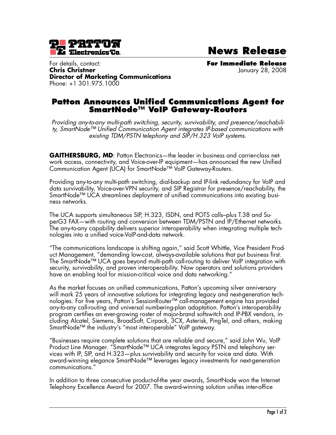

**News Release**

For details, contact: **For Immediate Release Chris Christner** January 28, 2008 **Director of Marketing Communications** Phone: +1 301.975.1000

## **Patton Announces Unified Communications Agent for SmartNode™ VoIP Gateway-Routers**

*Providing any-to-any multi-path switching, security, survivability, and presence/reachability, SmartNode™ Unified Communication Agent integrates IP-based communications with existing TDM/PSTN telephony and SIP/H.323 VoIP systems.*

**GAITHERSBURG, MD**: Patton Electronics—the leader in business and carrier-class network access, connectivity, and Voice-over-IP equipment—has announced the new Unified Communication Agent (UCA) for SmartNode™ VoIP Gateway-Routers.

Providing any-to-any multi-path switching, dial-backup and IP-link redundancy for VoIP and data survivability, Voice-over-VPN security, and SIP Registrar for presence/reachability, the SmartNode™ UCA streamlines deployment of unified communications into existing business networks.

The UCA supports simultaneous SIP, H.323, ISDN, and POTS calls–plus T.38 and SuperG3 FAX—with routing and conversion between TDM/PSTN and IP/Ethernet networks. The any-to-any capability delivers superior interoperability when integrating multiple technologies into a unified voice-VoIP-and-data network.

"The communications landscape is shifting again," said Scott Whittle, Vice President Product Management, "demanding low-cost, always-available solutions that put business first. The SmartNode™ UCA goes beyond multi-path call-routing to deliver VoIP integration with security, survivability, and proven interoperability. Now operators and solutions providers have an enabling tool for mission-critical voice and data networking."

As the market focuses on unified communications, Patton's upcoming silver anniversary will mark 25 years of innovative solutions for integrating legacy and next-generation technologies. For five years, Patton's SessionRouter™ call-management engine has provided any-to-any call-routing and universal numbering-plan adaptation. Patton's interoperability program certifies an ever-growing roster of major-brand softswitch and IP-PBX vendors, including Alcatel, Siemens, BroadSoft, Cirpack, 3CX, Asterisk, PingTel, and others, making SmartNode<sup>™</sup> the industry's "most interoperable" VoIP gateway.

"Businesses require complete solutions that are reliable and secure," said John Wu, VoIP Product Line Manager. "SmartNode™ UCA integrates legacy PSTN and telephony services with IP, SIP, and H.323—plus survivability and security for voice and data. With award-winning elegance SmartNode™ leverages legacy investments for next-generation communications."

In addition to three consecutive product-of-the year awards, SmartNode won the Internet Telephony Excellence Award for 2007. The award-winning solution unifies inter-office